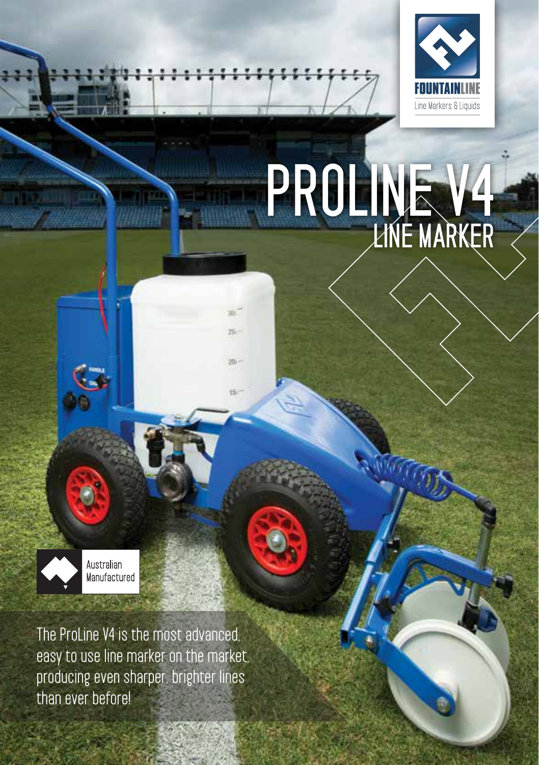

# PROLINE V4 LINE MARKER



**The ProLine V4 is the most advanced, easy to use line marker on the market, producing even sharper, brighter lines than ever before!**

**ANGEL STATE** 

iš.

201-

is.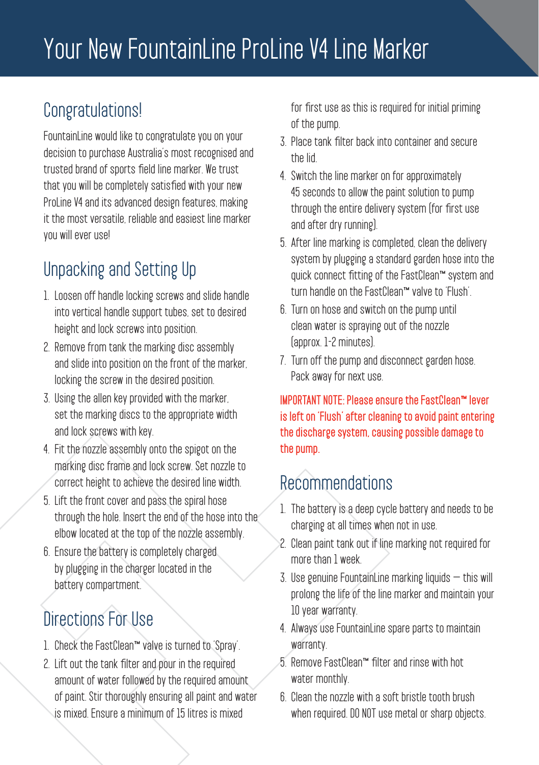### **Congratulations!**

**FountainLine would like to congratulate you on your decision to purchase Australia's most recognised and trusted brand of sports field line marker. We trust that you will be completely satisfied with your new ProLine V4 and its advanced design features, making it the most versatile, reliable and easiest line marker you will ever use!**

### **Unpacking and Setting Up**

- **1. Loosen off handle locking screws and slide handle into vertical handle support tubes, set to desired height and lock screws into position.**
- **2. Remove from tank the marking disc assembly and slide into position on the front of the marker, locking the screw in the desired position.**
- **3. Using the allen key provided with the marker, set the marking discs to the appropriate width and lock screws with key.**
- **4. Fit the nozzle assembly onto the spigot on the marking disc frame and lock screw. Set nozzle to correct height to achieve the desired line width.**
- **5. Lift the front cover and pass the spiral hose through the hole. Insert the end of the hose into the elbow located at the top of the nozzle assembly.**
- **6. Ensure the battery is completely charged by plugging in the charger located in the battery compartment.**

### **Directions For Use**

- **1. Check the FastClean™ valve is turned to 'Spray'.**
- **2. Lift out the tank filter and pour in the required amount of water followed by the required amount of paint. Stir thoroughly ensuring all paint and water is mixed. Ensure a minimum of 15 litres is mixed**

**for first use as this is required for initial priming of the pump.**

- **3. Place tank filter back into container and secure the lid.**
- **4. Switch the line marker on for approximately 45 seconds to allow the paint solution to pump through the entire delivery system (for first use and after dry running).**
- **5. After line marking is completed, clean the delivery system by plugging a standard garden hose into the quick connect fitting of the FastClean™ system and turn handle on the FastClean™ valve to 'Flush'.**
- **6. Turn on hose and switch on the pump until clean water is spraying out of the nozzle (approx. 1-2 minutes).**
- **7. Turn off the pump and disconnect garden hose. Pack away for next use.**

IMPORTANT NOTE: Please ensure the FastClean™ lever is left on 'Flush' after cleaning to avoid paint entering the discharge system, causing possible damage to the pump.

### **Recommendations**

- **1. The battery is a deep cycle battery and needs to be charging at all times when not in use.**
- **2. Clean paint tank out if line marking not required for more than 1 week.**
- **3. Use genuine FountainLine marking liquids this will prolong the life of the line marker and maintain your 10 year warranty.**
- **4. Always use FountainLine spare parts to maintain warranty.**
- **5. Remove FastClean™ filter and rinse with hot water monthly.**
- **6. Clean the nozzle with a soft bristle tooth brush when required. DO NOT use metal or sharp objects.**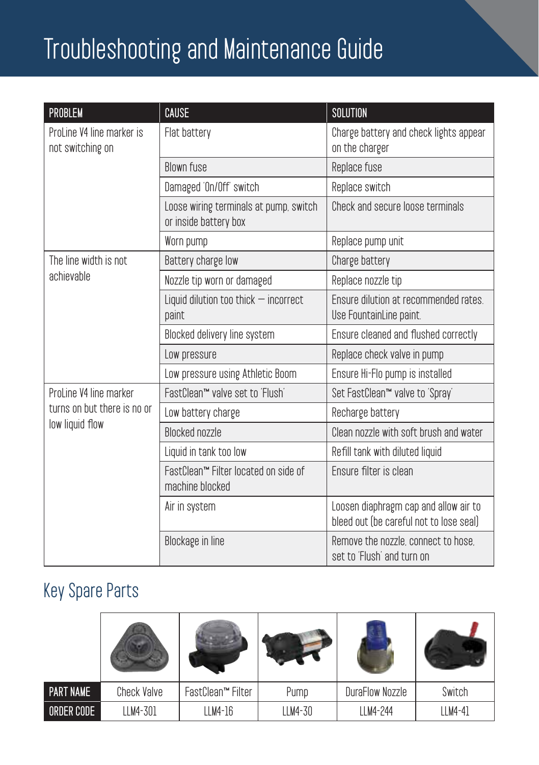### **Troubleshooting and Maintenance Guide**

| PROBLEM                                                                  | CAUSE                                                           | <b>SOLUTION</b>                                                                  |  |
|--------------------------------------------------------------------------|-----------------------------------------------------------------|----------------------------------------------------------------------------------|--|
| ProLine V4 line marker is<br>not switching on                            | Flat battery                                                    | Charge battery and check lights appear<br>on the charger                         |  |
|                                                                          | <b>Blown fuse</b>                                               | Replace fuse                                                                     |  |
|                                                                          | Damaged 'On/Off' switch                                         | Replace switch                                                                   |  |
|                                                                          | Loose wiring terminals at pump, switch<br>or inside battery box | Check and secure loose terminals                                                 |  |
|                                                                          | Worn pump                                                       | Replace pump unit                                                                |  |
| The line width is not<br>achievable                                      | Battery charge low                                              | Charge battery                                                                   |  |
|                                                                          | Nozzle tip worn or damaged                                      | Replace nozzle tip                                                               |  |
|                                                                          | Liquid dilution too thick $-$ incorrect<br>paint                | Ensure dilution at recommended rates.<br>Use FountainLine paint.                 |  |
|                                                                          | Blocked delivery line system                                    | Ensure cleaned and flushed correctly                                             |  |
|                                                                          | Low pressure                                                    | Replace check valve in pump                                                      |  |
|                                                                          | Low pressure using Athletic Boom                                | Ensure Hi-Flo pump is installed                                                  |  |
| ProLine V4 line marker<br>turns on but there is no or<br>low liquid flow | FastClean™ valve set to 'Flush'                                 | Set FastClean™ valve to 'Spray'                                                  |  |
|                                                                          | Low battery charge                                              | Recharge battery                                                                 |  |
|                                                                          | <b>Blocked nozzle</b>                                           | Clean nozzle with soft brush and water                                           |  |
|                                                                          | Liquid in tank too low                                          | Refill tank with diluted liquid                                                  |  |
|                                                                          | FastClean™ Filter located on side of<br>machine blocked         | Ensure filter is clean                                                           |  |
|                                                                          | Air in system                                                   | Loosen diaphragm cap and allow air to<br>bleed out (be careful not to lose seal) |  |
|                                                                          | Blockage in line                                                | Remove the nozzle, connect to hose.<br>set to 'Flush' and turn on                |  |

### **Key Spare Parts**

| <b>PART NAME</b> | Check Valve | FastClean™ Filter | Pump    | DuraFlow Nozzle | Switch  |
|------------------|-------------|-------------------|---------|-----------------|---------|
| ORDER CODE       | LLM4-301    | LLM4-16           | LLM4-30 | LLM4-244        | LLM4-41 |